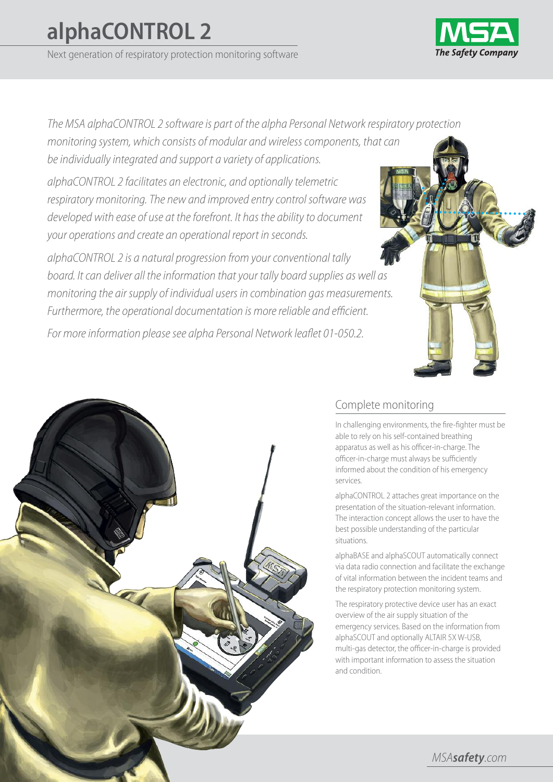# **alphaCONTROL 2**

Next generation of respiratory protection monitoring software



The MSA alphaCONTROL 2 software is part of the alpha Personal Network respiratory protection monitoring system, which consists of modular and wireless components, that can be individually integrated and support a variety of applications.

alphaCONTROL 2 facilitates an electronic, and optionally telemetric respiratory monitoring. The new and improved entry control software was developed with ease of use at the forefront. It has the ability to document your operations and create an operational report in seconds.

alphaCONTROL 2 is a natural progression from your conventional tally board. It can deliver all the information that your tally board supplies as well as monitoring the air supply of individual users in combination gas measurements. Furthermore, the operational documentation is more reliable and efficient.

For more information please see alpha Personal Network leaflet 01-050.2.



# Complete monitoring

In challenging environments, the fire-fighter must be able to rely on his self-contained breathing apparatus as well as his officer-in-charge. The officer-in-charge must always be sufficiently informed about the condition of his emergency services.

alphaCONTROL 2 attaches great importance on the presentation of the situation-relevant information. The interaction concept allows the user to have the best possible understanding of the particular situations.

alphaBASE and alphaSCOUT automatically connect via data radio connection and facilitate the exchange of vital information between the incident teams and the respiratory protection monitoring system.

The respiratory protective device user has an exact overview of the air supply situation of the emergency services. Based on the information from alphaSCOUT and optionally ALTAIR 5X W-USB, multi-gas detector, the officer-in-charge is provided with important information to assess the situation and condition.

MSA*safety*.com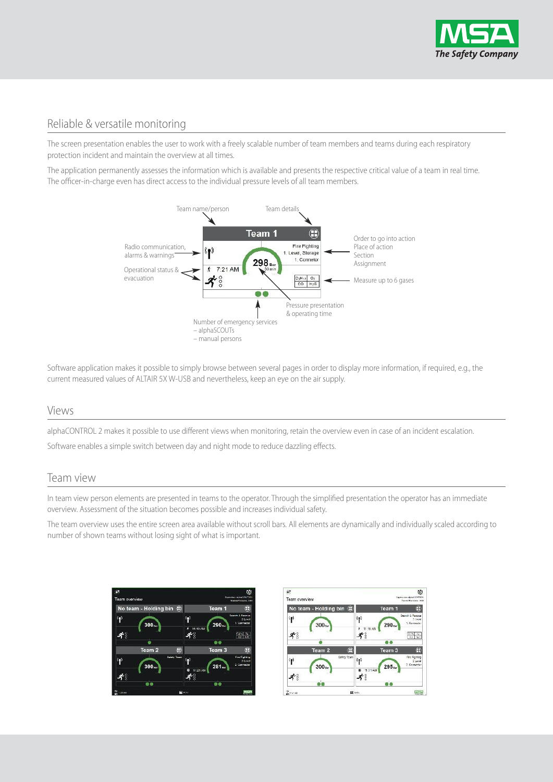

### Reliable & versatile monitoring

The screen presentation enables the user to work with a freely scalable number of team members and teams during each respiratory protection incident and maintain the overview at all times.

The application permanently assesses the information which is available and presents the respective critical value of a team in real time. The officer-in-charge even has direct access to the individual pressure levels of all team members.



Software application makes it possible to simply browse between several pages in order to display more information, if required, e.g., the current measured values of ALTAIR 5X W-USB and nevertheless, keep an eye on the air supply.

#### Views

alphaCONTROL 2 makes it possible to use different views when monitoring, retain the overview even in case of an incident escalation.

Software enables a simple switch between day and night mode to reduce dazzling effects.

#### Team view

In team view person elements are presented in teams to the operator. Through the simplified presentation the operator has an immediate overview. Assessment of the situation becomes possible and increases individual safety.

The team overview uses the entire screen area available without scroll bars. All elements are dynamically and individually scaled according to number of shown teams without losing sight of what is important.



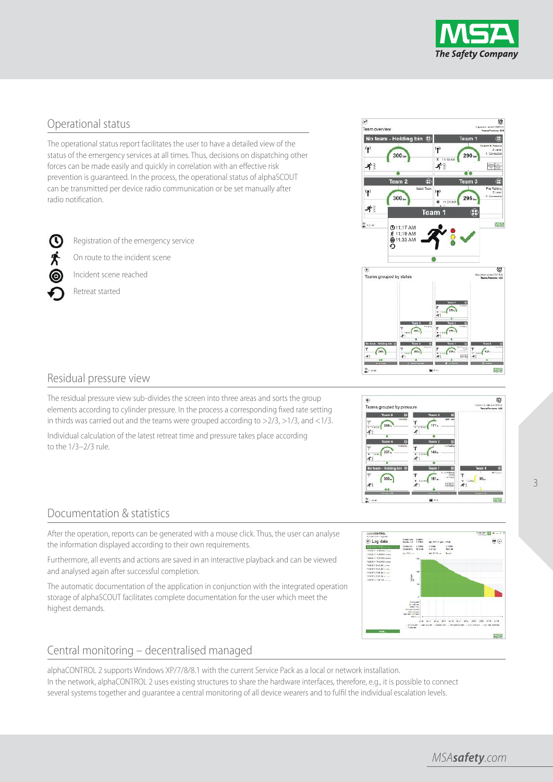

## Operational status

The operational status report facilitates the user to have a detailed view of the status of the emergency services at all times. Thus, decisions on dispatching other forces can be made easily and quickly in correlation with an effective risk prevention is guaranteed. In the process, the operational status of alphaSCOUT can be transmitted per device radio communication or be set manually after radio notification.

Registration of the emergency service

On route to the incident scene

Incident scene reached

Retreat started

സ



The residual pressure view sub-divides the screen into three areas and sorts the group elements according to cylinder pressure. In the process a corresponding fixed rate setting in thirds was carried out and the teams were grouped according to  $>2/3$ ,  $>1/3$ , and  $<1/3$ .

Individual calculation of the latest retreat time and pressure takes place according to the 1/3–2/3 rule.







# Documentation & statistics

After the operation, reports can be generated with a mouse click. Thus, the user can analyse the information displayed according to their own requirements.

Furthermore, all events and actions are saved in an interactive playback and can be viewed and analysed again after successful completion.

The automatic documentation of the application in conjunction with the integrated operation storage of alphaSCOUT facilitates complete documentation for the user which meet the highest demands.



#### Central monitoring – decentralised managed

alphaCONTROL 2 supports Windows XP/7/8/8.1 with the current Service Pack as a local or network installation. In the network, alphaCONTROL 2 uses existing structures to share the hardware interfaces, therefore, e.g., it is possible to connect several systems together and guarantee a central monitoring of all device wearers and to fulfil the individual escalation levels.